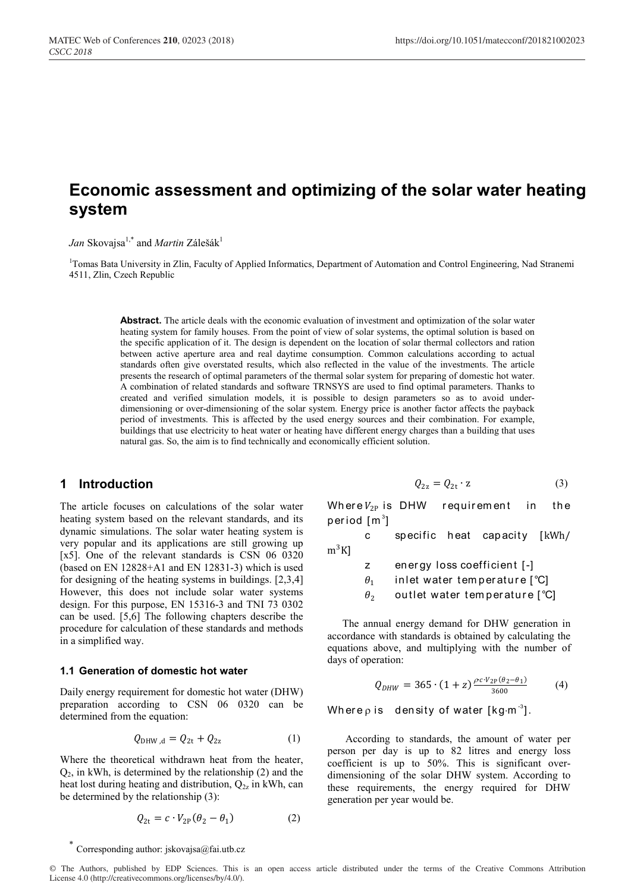# **Economic assessment and optimizing of the solar water heating system**

*Jan* Skovajsa<sup>1,\*</sup> and *Martin* Zálešák<sup>1</sup>

<sup>1</sup>Tomas Bata University in Zlin, Faculty of Applied Informatics, Department of Automation and Control Engineering, Nad Stranemi 4511, Zlin, Czech Republic

> **Abstract.** The article deals with the economic evaluation of investment and optimization of the solar water heating system for family houses. From the point of view of solar systems, the optimal solution is based on the specific application of it. The design is dependent on the location of solar thermal collectors and ration between active aperture area and real daytime consumption. Common calculations according to actual standards often give overstated results, which also reflected in the value of the investments. The article presents the research of optimal parameters of the thermal solar system for preparing of domestic hot water. A combination of related standards and software TRNSYS are used to find optimal parameters. Thanks to created and verified simulation models, it is possible to design parameters so as to avoid underdimensioning or over-dimensioning of the solar system. Energy price is another factor affects the payback period of investments. This is affected by the used energy sources and their combination. For example, buildings that use electricity to heat water or heating have different energy charges than a building that uses natural gas. So, the aim is to find technically and economically efficient solution.

### **1 Introduction**

The article focuses on calculations of the solar water heating system based on the relevant standards, and its dynamic simulations. The solar water heating system is very popular and its applications are still growing up [x5]. One of the relevant standards is CSN 06 0320 (based on EN 12828+A1 and EN 12831-3) which is used for designing of the heating systems in buildings. [2,3,4] However, this does not include solar water systems design. For this purpose, EN 15316-3 and TNI 73 0302 can be used. [5,6] The following chapters describe the procedure for calculation of these standards and methods in a simplified way.

#### **1.1 Generation of domestic hot water**

Daily energy requirement for domestic hot water (DHW) preparation according to CSN 06 0320 can be determined from the equation:

$$
Q_{\text{DHW},d} = Q_{2t} + Q_{2z} \tag{1}
$$

Where the theoretical withdrawn heat from the heater,  $Q<sub>2</sub>$ , in kWh, is determined by the relationship (2) and the heat lost during heating and distribution,  $Q_{2z}$  in kWh, can be determined by the relationship (3):

$$
Q_{2t} = c \cdot V_{2P}(\theta_2 - \theta_1) \tag{2}
$$

$$
Q_{2z} = Q_{2t} \cdot z \tag{3}
$$

Where  $V_{2P}$  is DHW requirement in the period [m $^{\rm 3}$ ]

c specific heat capacity [kWh/  $m^3K$ ]

z energy loss coefficient [-]

 $\theta_1$  inlet water temperature [°C]

 $\theta_2$  outlet water temperature  $[^{\circ}C]$ 

The annual energy demand for DHW generation in accordance with standards is obtained by calculating the equations above, and multiplying with the number of days of operation:

$$
Q_{DHW} = 365 \cdot (1+z) \frac{\rho c \cdot V_{2P}(\theta_2 - \theta_1)}{3600} \tag{4}
$$

Where  $\rho$  is density of water [kg $\cdot$ m $^{-3}$ ].

According to standards, the amount of water per person per day is up to 82 litres and energy loss coefficient is up to 50%. This is significant overdimensioning of the solar DHW system. According to these requirements, the energy required for DHW generation per year would be.

Corresponding author: jskovajsa@fai.utb.cz

© The Authors, published by EDP Sciences. This is an open access article distributed under the terms of the Creative Commons Attribution License 4.0 (http://creativecommons.org/licenses/by/4.0/).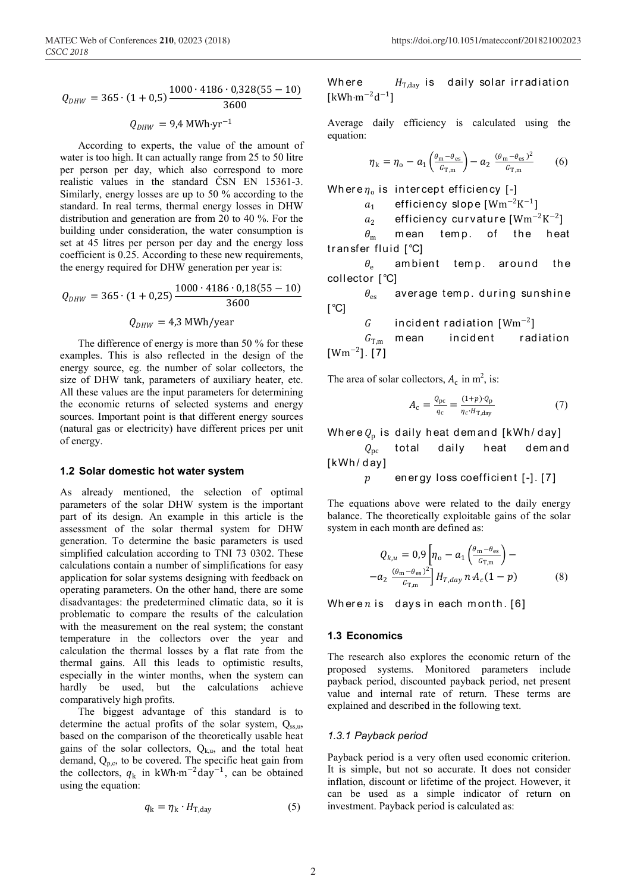$$
Q_{DHW} = 365 \cdot (1 + 0.5) \frac{1000 \cdot 4186 \cdot 0.328(55 - 10)}{3600}
$$

$$
Q_{DHW} = 9.4 \text{ MWh} \cdot \text{yr}^{-1}
$$

According to experts, the value of the amount of water is too high. It can actually range from 25 to 50 litre per person per day, which also correspond to more realistic values in the standard ČSN EN 15361-3. Similarly, energy losses are up to 50 % according to the standard. In real terms, thermal energy losses in DHW distribution and generation are from 20 to 40 %. For the building under consideration, the water consumption is set at 45 litres per person per day and the energy loss coefficient is 0.25. According to these new requirements, the energy required for DHW generation per year is:

$$
Q_{DHW} = 365 \cdot (1 + 0.25) \frac{1000 \cdot 4186 \cdot 0.18(55 - 10)}{3600}
$$

$$
Q_{DHW} = 4.3 \text{ MWh/year}
$$

The difference of energy is more than 50 % for these examples. This is also reflected in the design of the energy source, eg. the number of solar collectors, the size of DHW tank, parameters of auxiliary heater, etc. All these values are the input parameters for determining the economic returns of selected systems and energy sources. Important point is that different energy sources (natural gas or electricity) have different prices per unit of energy.

#### **1.2 Solar domestic hot water system**

As already mentioned, the selection of optimal parameters of the solar DHW system is the important part of its design. An example in this article is the assessment of the solar thermal system for DHW generation. To determine the basic parameters is used simplified calculation according to TNI 73 0302. These calculations contain a number of simplifications for easy application for solar systems designing with feedback on operating parameters. On the other hand, there are some disadvantages: the predetermined climatic data, so it is problematic to compare the results of the calculation with the measurement on the real system; the constant temperature in the collectors over the year and calculation the thermal losses by a flat rate from the thermal gains. All this leads to optimistic results, especially in the winter months, when the system can hardly be used, but the calculations achieve comparatively high profits.

The biggest advantage of this standard is to determine the actual profits of the solar system,  $Q_{ss,u}$ , based on the comparison of the theoretically usable heat gains of the solar collectors,  $Q_{k,n}$ , and the total heat demand,  $Q_{\text{p.c.}}$  to be covered. The specific heat gain from the collectors,  $q_k$  in kWh⋅m<sup>-2</sup>day<sup>-1</sup>, can be obtained using the equation:

$$
q_{k} = \eta_{k} \cdot H_{T, \text{day}}
$$
 (5)

Where  $H_{\text{T,day}}$  is daily solar irradiation  $[kWh·m<sup>-2</sup>d<sup>-1</sup>]$ 

Average daily efficiency is calculated using the equation:

$$
\eta_{\mathbf{k}} = \eta_{\mathbf{o}} - a_1 \left( \frac{\theta_{\mathbf{m}} - \theta_{\mathbf{e}\mathbf{s}}}{G_{\mathbf{T},\mathbf{m}}} \right) - a_2 \frac{(\theta_{\mathbf{m}} - \theta_{\mathbf{e}\mathbf{s}})^2}{G_{\mathbf{T},\mathbf{m}}} \tag{6}
$$

Where  $\eta_0$  is intercept efficiency [-]

 $a_1$  efficiency slope [Wm<sup>-2</sup>K<sup>-1</sup>]

 $a_2$  efficiency curvature [Wm<sup>-2</sup>K<sup>-2</sup>]

 $\theta_{\rm m}$  mean temp. of the heat tr an sfer fluid [°C]

 $\theta$  ambient temp. around the collector [°C]

 $\theta_{\rm es}$  aver age temp. during sunshine  $\lceil$ <sup>°</sup>C]

$$
G \qquad \text{incident radiation } [Wm^{-2}]
$$

 $G_{\text{T,m}}$  mean incident radiation  $[Wm^{-2}]$ . [7]

The area of solar collectors,  $A_c$  in m<sup>2</sup>, is:

$$
A_{\rm c} = \frac{Q_{\rm pc}}{q_{\rm c}} = \frac{(1+p)\cdot Q_{\rm p}}{\eta_c \cdot H_{\rm T, day}}\tag{7}
$$

Where  $Q_p$  is daily heat demand [kWh/day]<br> $Q_{pc}$  total daily heat deman

 $Q_{\text{nc}}$  total daily heat dem and [kWh/day]

 $p$  energy loss coefficient  $[-]$ . [7]

The equations above were related to the daily energy balance. The theoretically exploitable gains of the solar system in each month are defined as:

$$
Q_{k,u} = 0.9 \left[ \eta_0 - a_1 \left( \frac{\theta_{\rm m} - \theta_{\rm es}}{G_{\rm T,m}} \right) - \right. \\
\left. - a_2 \left( \frac{\theta_{\rm m} - \theta_{\rm es}}{G_{\rm T,m}} \right) H_{T,day} n \cdot A_c (1 - p) \right]
$$
\n(8)

Where  $n$  is days in each month. [6]

#### **1.3 Economics**

The research also explores the economic return of the proposed systems. Monitored parameters include payback period, discounted payback period, net present value and internal rate of return. These terms are explained and described in the following text.

#### *1.3.1 Payback period*

Payback period is a very often used economic criterion. It is simple, but not so accurate. It does not consider inflation, discount or lifetime of the project. However, it can be used as a simple indicator of return on investment. Payback period is calculated as: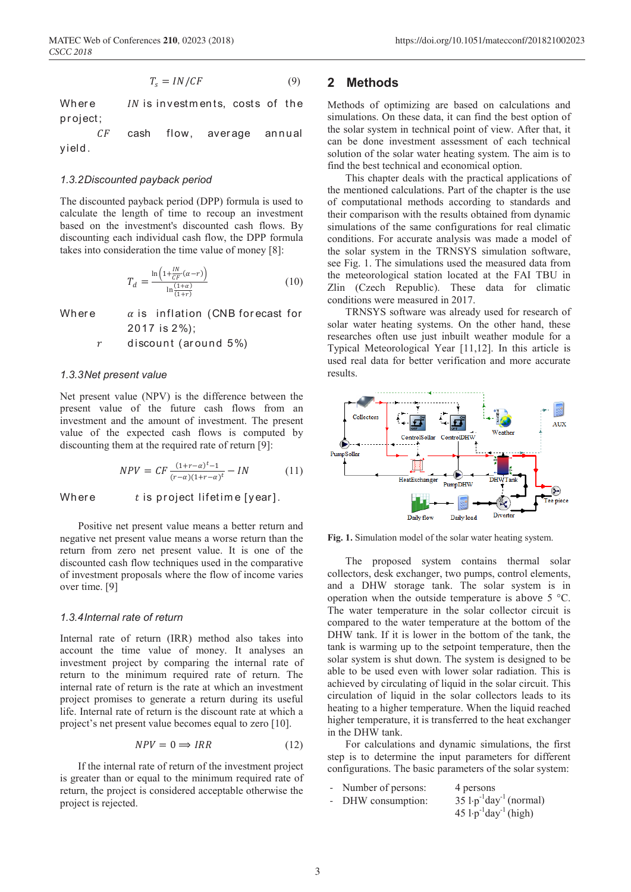$$
T_s = IN/CF \tag{9}
$$

Where  $IN$  is investments, costs of the pr oject;

 $CF$  cash flow, average annual yield.

#### *1.3.2Discounted payback period*

The discounted payback period (DPP) formula is used to calculate the length of time to recoup an investment based on the investment's discounted cash flows. By discounting each individual cash flow, the DPP formula takes into consideration the time value of money [8]:

$$
T_d = \frac{\ln\left(1 + \frac{lN}{Cr}(a-r)\right)}{\ln\left(\frac{1+a}{1+r}\right)}
$$
(10)

Where  $\alpha$  is inflation (CNB forecast for 2017 is 2%);

 $r$  discount (around 5%)

#### *1.3.3Net present value*

Net present value (NPV) is the difference between the present value of the future cash flows from an investment and the amount of investment. The present value of the expected cash flows is computed by discounting them at the required rate of return [9]:

$$
NPV = CF \frac{(1+r-\alpha)^t - 1}{(r-\alpha)(1+r-\alpha)^t} - IN \tag{11}
$$

 $W$ here

Positive net present value means a better return and negative net present value means a worse return than the return from zero net present value. It is one of the discounted cash flow techniques used in the comparative of investment proposals where the flow of income varies over time. [9]

#### *1.3.4Internal rate of return*

Internal rate of return (IRR) method also takes into account the time value of money. It analyses an investment project by comparing the internal rate of return to the minimum required rate of return. The internal rate of return is the rate at which an investment project promises to generate a return during its useful life. Internal rate of return is the discount rate at which a project's net present value becomes equal to zero [10].

$$
NPV = 0 \Longrightarrow IRR \tag{12}
$$

If the internal rate of return of the investment project is greater than or equal to the minimum required rate of return, the project is considered acceptable otherwise the project is rejected.

### **2 Methods**

Methods of optimizing are based on calculations and simulations. On these data, it can find the best option of the solar system in technical point of view. After that, it can be done investment assessment of each technical solution of the solar water heating system. The aim is to find the best technical and economical option.

This chapter deals with the practical applications of the mentioned calculations. Part of the chapter is the use of computational methods according to standards and their comparison with the results obtained from dynamic simulations of the same configurations for real climatic conditions. For accurate analysis was made a model of the solar system in the TRNSYS simulation software, see Fig. 1. The simulations used the measured data from the meteorological station located at the FAI TBU in Zlin (Czech Republic). These data for climatic conditions were measured in 2017.

TRNSYS software was already used for research of solar water heating systems. On the other hand, these researches often use just inbuilt weather module for a Typical Meteorological Year [11,12]. In this article is used real data for better verification and more accurate results.



**Fig. 1.** Simulation model of the solar water heating system.

The proposed system contains thermal solar collectors, desk exchanger, two pumps, control elements, and a DHW storage tank. The solar system is in operation when the outside temperature is above 5 °C. The water temperature in the solar collector circuit is compared to the water temperature at the bottom of the DHW tank. If it is lower in the bottom of the tank, the tank is warming up to the setpoint temperature, then the solar system is shut down. The system is designed to be able to be used even with lower solar radiation. This is achieved by circulating of liquid in the solar circuit. This circulation of liquid in the solar collectors leads to its heating to a higher temperature. When the liquid reached higher temperature, it is transferred to the heat exchanger in the DHW tank.

For calculations and dynamic simulations, the first step is to determine the input parameters for different configurations. The basic parameters of the solar system:

| - Number of persons: | 4 persons                                       |
|----------------------|-------------------------------------------------|
| - DHW consumption:   | $35 \cdot p^{-1}day^{-1}$ (normal)              |
|                      | $45$ l·p <sup>-1</sup> day <sup>-1</sup> (high) |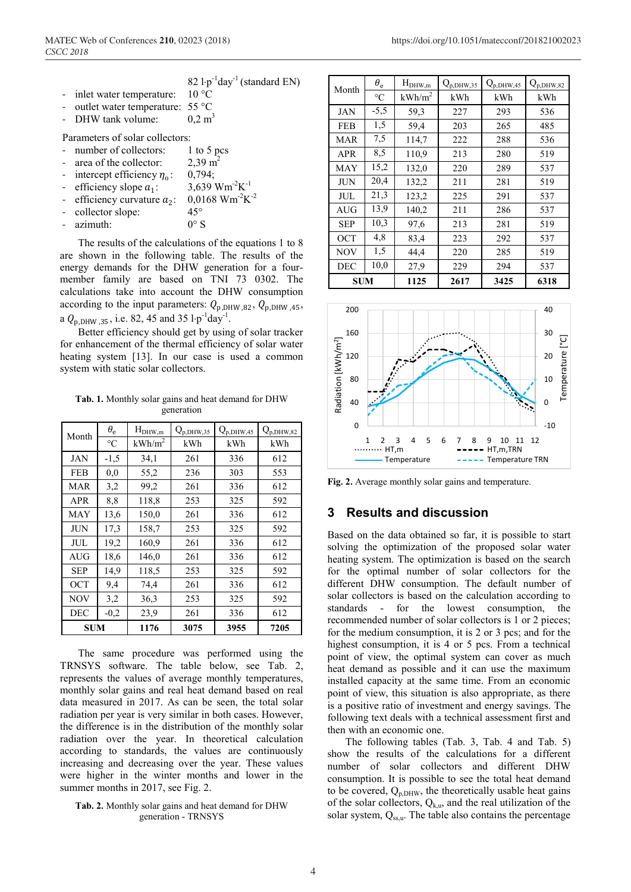|                                            | 82 $1 \cdot p^{-1}$ day <sup>-1</sup> (standard EN) |
|--------------------------------------------|-----------------------------------------------------|
| - inlet water temperature:                 | $10^{\circ}$ C                                      |
| - outlet water temperature: $55^{\circ}$ C |                                                     |
| - DHW tank volume:                         | $0.2 \text{ m}^3$                                   |
| Parameters of solar collectors:            |                                                     |
| - number of collectors:                    | 1 to 5 pcs                                          |
| - area of the collector:                   | $2,39 \text{ m}^2$                                  |
| - intercept efficiency $\eta_0$ :          | 0,794;                                              |
| - efficiency slope $a_1$ :                 | 3,639 Wm <sup>-2</sup> K <sup>-1</sup>              |
|                                            |                                                     |

- $0.0168$  Wm<sup>-2</sup>K<sup>-2</sup>
- efficiency curvature  $a_2$ : 0,01<br>collector slope: 45° collector slope:
- $azimuth: 0° S$

The results of the calculations of the equations 1 to 8 are shown in the following table. The results of the energy demands for the DHW generation for a fourmember family are based on TNI 73 0302. The calculations take into account the DHW consumption according to the input parameters:  $Q_{\text{p,DHW,82}}$ ,  $Q_{\text{p,DHW,45}}$ , a  $Q_{\rm p, DHW, 35}$ , i.e. 82, 45 and 35 l⋅p<sup>-1</sup>day<sup>-1</sup>.

Better efficiency should get by using of solar tracker for enhancement of the thermal efficiency of solar water heating system [13]. In our case is used a common system with static solar collectors.

**Tab. 1.** Monthly solar gains and heat demand for DHW generation

| Month      | $\theta_{\rm e}$ | $H_{DHW,m}$ | $Q_{p,DHW, 35}$ | $Q_{p, DHW, 45}$ | $Q_{p,DH\underline{W},82}$ |
|------------|------------------|-------------|-----------------|------------------|----------------------------|
|            | $\rm ^{\circ}C$  | $kWh/m^2$   | kWh             | kWh              | kWh                        |
| JAN        | $-1,5$           | 34,1        | 261             | 336              | 612                        |
| FEB        | 0.0              | 55,2        | 236             | 303              | 553                        |
| MAR        | 3,2              | 99,2        | 261             | 336              | 612                        |
| <b>APR</b> | 8,8              | 118,8       | 253             | 325              | 592                        |
| MAY        | 13,6             | 150,0       | 261             | 336              | 612                        |
| JUN        | 17,3             | 158,7       | 253             | 325              | 592                        |
| JUL        | 19,2             | 160,9       | 261             | 336              | 612                        |
| AUG        | 18,6             | 146,0       | 261             | 336              | 612                        |
| <b>SEP</b> | 14,9             | 118,5       | 253             | 325              | 592                        |
| <b>OCT</b> | 9,4              | 74,4        | 261             | 336              | 612                        |
| <b>NOV</b> | 3,2              | 36,3        | 253             | 325              | 592                        |
| <b>DEC</b> | $-0,2$           | 23,9        | 261             | 336              | 612                        |
| <b>SUM</b> |                  | 1176        | 3075            | 3955             | 7205                       |

The same procedure was performed using the TRNSYS software. The table below, see Tab. 2, represents the values of average monthly temperatures, monthly solar gains and real heat demand based on real data measured in 2017. As can be seen, the total solar radiation per year is very similar in both cases. However, the difference is in the distribution of the monthly solar radiation over the year. In theoretical calculation according to standards, the values are continuously increasing and decreasing over the year. These values were higher in the winter months and lower in the summer months in 2017, see Fig. 2.

#### **Tab. 2.** Monthly solar gains and heat demand for DHW generation - TRNSYS

| Month      | $\theta_{\rm e}$ | $H_{DHW,m}$ | $\mathrm{Q}_{\mathrm{p},\mathrm{DHW},35}$ | $Q_{p, DHW, 45}$ | $Q_{p,DHW,82}$ |
|------------|------------------|-------------|-------------------------------------------|------------------|----------------|
|            | $\rm ^{\circ}C$  | $kWh/m^2$   | kWh                                       | kWh              | kWh            |
| <b>JAN</b> | $-5,5$           | 59,3        | 227                                       | 293              | 536            |
| <b>FEB</b> | 1,5              | 59,4        | 203                                       | 265              | 485            |
| MAR        | 7,5              | 114,7       | 222                                       | 288              | 536            |
| <b>APR</b> | 8,5              | 110.9       | 213                                       | 280              | 519            |
| <b>MAY</b> | 15,2             | 132,0       | 220                                       | 289              | 537            |
| ЛN         | 20,4             | 132,2       | 211                                       | 281              | 519            |
| JUL        | 21,3             | 123,2       | 225                                       | 291              | 537            |
| <b>AUG</b> | 13,9             | 140,2       | 211                                       | 286              | 537            |
| <b>SEP</b> | 10.3             | 97,6        | 213                                       | 281              | 519            |
| <b>OCT</b> | 4,8              | 83,4        | 223                                       | 292              | 537            |
| <b>NOV</b> | 1,5              | 44,4        | 220                                       | 285              | 519            |
| <b>DEC</b> | 10,0             | 27,9        | 229                                       | 294              | 537            |
| SUM        |                  | 1125        | 2617                                      | 3425             | 6318           |



**Fig. 2.** Average monthly solar gains and temperature.

### **3 Results and discussion**

Based on the data obtained so far, it is possible to start solving the optimization of the proposed solar water heating system. The optimization is based on the search for the optimal number of solar collectors for the different DHW consumption. The default number of solar collectors is based on the calculation according to standards - for the lowest consumption, the recommended number of solar collectors is 1 or 2 pieces; for the medium consumption, it is 2 or 3 pcs; and for the highest consumption, it is 4 or 5 pcs. From a technical point of view, the optimal system can cover as much heat demand as possible and it can use the maximum installed capacity at the same time. From an economic point of view, this situation is also appropriate, as there is a positive ratio of investment and energy savings. The following text deals with a technical assessment first and then with an economic one.

The following tables (Tab. 3, Tab. 4 and Tab. 5) show the results of the calculations for a different number of solar collectors and different DHW consumption. It is possible to see the total heat demand to be covered,  $Q_{p,DHW}$ , the theoretically usable heat gains of the solar collectors,  $Q_{k,u}$ , and the real utilization of the solar system,  $Q_{ss,u}$ . The table also contains the percentage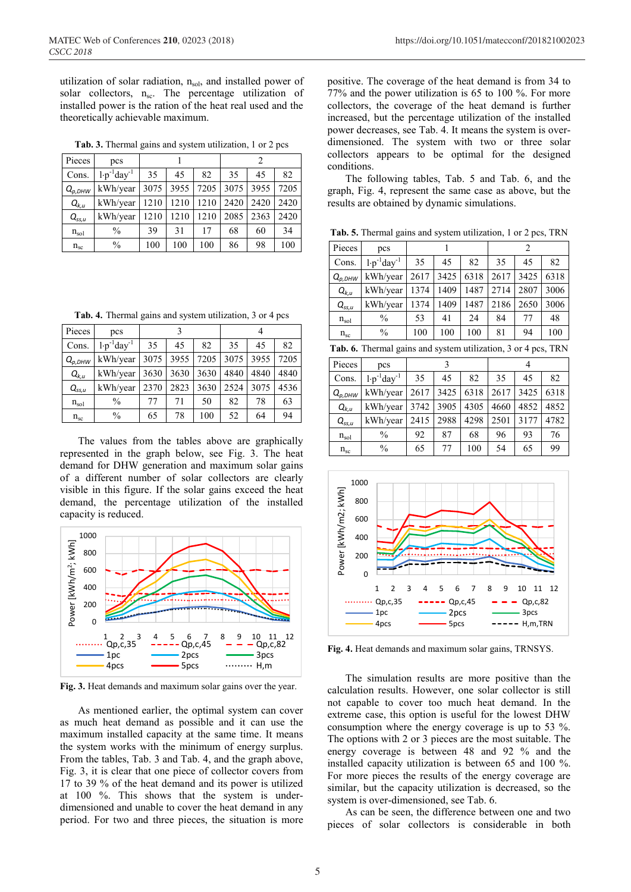utilization of solar radiation,  $n_{sol}$ , and installed power of solar collectors,  $n_{sc}$ . The percentage utilization of installed power is the ration of the heat real used and the theoretically achievable maximum.

**Tab. 3.** Thermal gains and system utilization, 1 or 2 pcs

| Pieces        | pcs                      |      |      | 2    |      |      |      |
|---------------|--------------------------|------|------|------|------|------|------|
| Cons.         | $1 \cdot p^{-1}day^{-1}$ | 35   | 45   | 82   | 35   | 45   | 82   |
| $Q_{p, DHW}$  | kWh/year                 | 3075 | 3955 | 7205 | 3075 | 3955 | 7205 |
| $Q_{k,u}$     | kWh/year                 | 1210 | 1210 | 1210 | 2420 | 2420 | 2420 |
| $Q_{ss,u}$    | kWh/year                 | 1210 | 1210 | 1210 | 2085 | 2363 | 2420 |
| $n_{\rm sol}$ | $\frac{0}{0}$            | 39   | 31   | 17   | 68   | 60   | 34   |
| $n_{\rm sc}$  | $\frac{0}{0}$            | 100  | 100  | 100  | 86   | 98   | 100  |

**Tab. 4.** Thermal gains and system utilization, 3 or 4 pcs

| Pieces       | pcs                      |      |      |      |      |      |      |
|--------------|--------------------------|------|------|------|------|------|------|
| Cons.        | $1 \cdot p^{-1}day^{-1}$ | 35   | 45   | 82   | 35   | 45   | 82   |
| $Q_{p, DHW}$ | kWh/year                 | 3075 | 3955 | 7205 | 3075 | 3955 | 7205 |
| $Q_{k,u}$    | kWh/year                 | 3630 | 3630 | 3630 | 4840 | 4840 | 4840 |
| $Q_{ss,u}$   | kWh/year                 | 2370 | 2823 | 3630 | 2524 | 3075 | 4536 |
| $n_{sol}$    | $\frac{0}{0}$            | 77   | 71   | 50   | 82   | 78   | 63   |
| $n_{\rm sc}$ | $\%$                     | 65   | 78   | 100  | 52   | 64   | 94   |

The values from the tables above are graphically represented in the graph below, see Fig. 3. The heat demand for DHW generation and maximum solar gains of a different number of solar collectors are clearly visible in this figure. If the solar gains exceed the heat demand, the percentage utilization of the installed capacity is reduced.



**Fig. 3.** Heat demands and maximum solar gains over the year.

As mentioned earlier, the optimal system can cover as much heat demand as possible and it can use the maximum installed capacity at the same time. It means the system works with the minimum of energy surplus. From the tables, Tab. 3 and Tab. 4, and the graph above, Fig. 3, it is clear that one piece of collector covers from 17 to 39 % of the heat demand and its power is utilized at 100 %. This shows that the system is underdimensioned and unable to cover the heat demand in any period. For two and three pieces, the situation is more positive. The coverage of the heat demand is from 34 to 77% and the power utilization is 65 to 100 %. For more collectors, the coverage of the heat demand is further increased, but the percentage utilization of the installed power decreases, see Tab. 4. It means the system is overdimensioned. The system with two or three solar collectors appears to be optimal for the designed conditions.

The following tables, Tab. 5 and Tab. 6, and the graph, Fig. 4, represent the same case as above, but the results are obtained by dynamic simulations.

**Tab. 5.** Thermal gains and system utilization, 1 or 2 pcs, TRN

| Pieces                 | pcs                                                           | 1    |      |      | $\overline{2}$ |      |      |  |
|------------------------|---------------------------------------------------------------|------|------|------|----------------|------|------|--|
| Cons.                  | $1 \cdot p^{-1}day^{-1}$                                      | 35   | 45   | 82   | 35             | 45   | 82   |  |
| $Q_{p,DHW}$            | kWh/year                                                      | 2617 | 3425 | 6318 | 2617           | 3425 | 6318 |  |
| $Q_{k,u}$              | kWh/year                                                      | 1374 | 1409 | 1487 | 2714           | 2807 | 3006 |  |
| $Q_{ss,\underline{u}}$ | kWh/year                                                      | 1374 | 1409 | 1487 | 2186           | 2650 | 3006 |  |
| $n_{sol}$              | $\frac{0}{0}$                                                 | 53   | 41   | 24   | 84             | 77   | 48   |  |
| $n_{\rm sc}$           | $\frac{0}{0}$                                                 | 100  | 100  | 100  | 81             | 94   | 100  |  |
|                        | Tab. 6. Thermal gains and system utilization, 3 or 4 pcs, TRN |      |      |      |                |      |      |  |
| Pieces                 | pcs                                                           |      | 3    |      |                | 4    |      |  |
| Cons.                  | $1 \cdot p^{-1}day^{-1}$                                      | 35   | 45   | 82   | 35             | 45   | 82   |  |
| $Q_{p, DHW}$           | kWh/year                                                      | 2617 | 3425 | 6318 | 2617           | 3425 | 6318 |  |
| $Q_{k,u}$              | kWh/year                                                      | 3742 | 3905 | 4305 | 4660           | 4852 | 4852 |  |
| $Q_{ss,u}$             | kWh/year                                                      | 2415 | 2988 | 4298 | 2501           | 3177 | 4782 |  |
| $n_{sol}$              | $\frac{0}{0}$                                                 | 92   | 87   | 68   | 96             | 93   | 76   |  |
| $n_{\rm sc}$           | $\frac{0}{0}$                                                 | 65   | 77   | 100  | 54             | 65   | 99   |  |



**Fig. 4.** Heat demands and maximum solar gains, TRNSYS.

The simulation results are more positive than the calculation results. However, one solar collector is still not capable to cover too much heat demand. In the extreme case, this option is useful for the lowest DHW consumption where the energy coverage is up to 53 %. The options with 2 or 3 pieces are the most suitable. The energy coverage is between 48 and 92 % and the installed capacity utilization is between 65 and 100 %. For more pieces the results of the energy coverage are similar, but the capacity utilization is decreased, so the system is over-dimensioned, see Tab. 6.

As can be seen, the difference between one and two pieces of solar collectors is considerable in both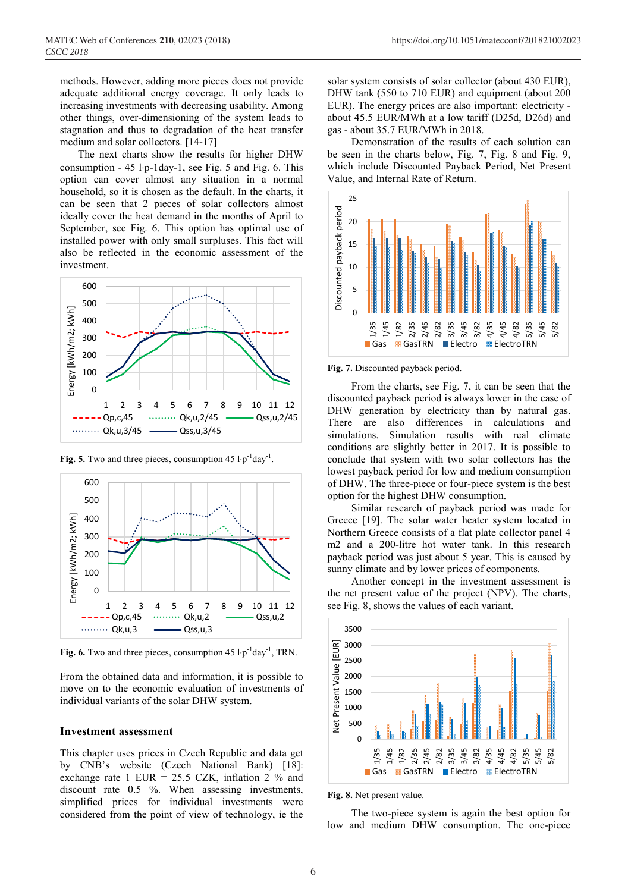methods. However, adding more pieces does not provide adequate additional energy coverage. It only leads to increasing investments with decreasing usability. Among other things, over-dimensioning of the system leads to stagnation and thus to degradation of the heat transfer medium and solar collectors. [14-17]

The next charts show the results for higher DHW consumption - 45 l⋅p-1day-1, see Fig. 5 and Fig. 6. This option can cover almost any situation in a normal household, so it is chosen as the default. In the charts, it can be seen that 2 pieces of solar collectors almost ideally cover the heat demand in the months of April to September, see Fig. 6. This option has optimal use of installed power with only small surpluses. This fact will also be reflected in the economic assessment of the investment.



**Fig. 5.** Two and three pieces, consumption  $45 \cdot p^{-1}$ day<sup>-1</sup>.



**Fig. 6.** Two and three pieces, consumption  $45 \cdot p^{-1}$ day<sup>-1</sup>, TRN.

From the obtained data and information, it is possible to move on to the economic evaluation of investments of individual variants of the solar DHW system.

### **Investment assessment**

This chapter uses prices in Czech Republic and data get by CNB's website (Czech National Bank) [18]: exchange rate 1 EUR =  $25.5$  CZK, inflation 2 % and discount rate 0.5 %. When assessing investments, simplified prices for individual investments were considered from the point of view of technology, ie the

solar system consists of solar collector (about 430 EUR), DHW tank (550 to 710 EUR) and equipment (about 200 EUR). The energy prices are also important: electricity about 45.5 EUR/MWh at a low tariff (D25d, D26d) and gas - about 35.7 EUR/MWh in 2018.

Demonstration of the results of each solution can be seen in the charts below, Fig. 7, Fig. 8 and Fig. 9, which include Discounted Payback Period, Net Present Value, and Internal Rate of Return.



**Fig. 7.** Discounted payback period.

From the charts, see Fig. 7, it can be seen that the discounted payback period is always lower in the case of DHW generation by electricity than by natural gas. There are also differences in calculations and simulations. Simulation results with real climate conditions are slightly better in 2017. It is possible to conclude that system with two solar collectors has the lowest payback period for low and medium consumption of DHW. The three-piece or four-piece system is the best option for the highest DHW consumption.

Similar research of payback period was made for Greece [19]. The solar water heater system located in Northern Greece consists of a flat plate collector panel 4 m2 and a 200-litre hot water tank. In this research payback period was just about 5 year. This is caused by sunny climate and by lower prices of components.

Another concept in the investment assessment is the net present value of the project (NPV). The charts, see Fig. 8, shows the values of each variant.



**Fig. 8.** Net present value.

The two-piece system is again the best option for low and medium DHW consumption. The one-piece